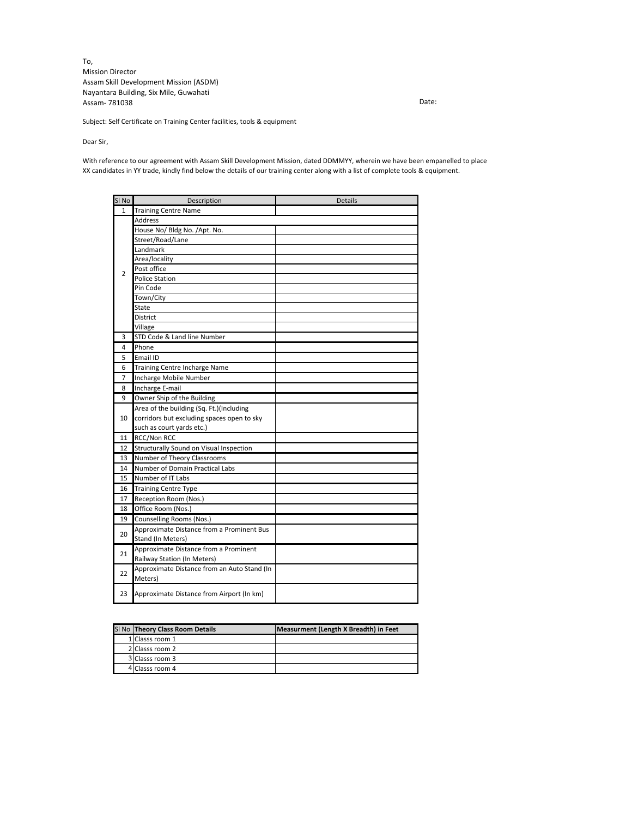To, Mission Director Assam Skill Development Mission (ASDM) Nayantara Building, Six Mile, Guwahati Assam- 781038

Date:

Subject: Self Certificate on Training Center facilities, tools & equipment

Dear Sir,

With reference to our agreement with Assam Skill Development Mission, dated DDMMYY, wherein we have been empanelled to place XX candidates in YY trade, kindly find below the details of our training center along with a list of complete tools & equipment.

| SI <sub>No</sub> | Description                                 | <b>Details</b> |
|------------------|---------------------------------------------|----------------|
| $\mathbf{1}$     | <b>Training Centre Name</b>                 |                |
| $\overline{2}$   | <b>Address</b>                              |                |
|                  | House No/ Bldg No. /Apt. No.                |                |
|                  | Street/Road/Lane                            |                |
|                  | Landmark                                    |                |
|                  | Area/locality                               |                |
|                  | Post office                                 |                |
|                  | <b>Police Station</b>                       |                |
|                  | Pin Code                                    |                |
|                  | Town/City                                   |                |
|                  | State                                       |                |
|                  | <b>District</b>                             |                |
|                  | Village                                     |                |
| 3                | STD Code & Land line Number                 |                |
| 4                | Phone                                       |                |
| 5                | Email ID                                    |                |
| 6                | Training Centre Incharge Name               |                |
| $\overline{7}$   | Incharge Mobile Number                      |                |
| 8                | Incharge E-mail                             |                |
| 9                | Owner Ship of the Building                  |                |
|                  | Area of the building (Sq. Ft.)(Including    |                |
| 10               | corridors but excluding spaces open to sky  |                |
|                  | such as court yards etc.)                   |                |
| 11               | RCC/Non RCC                                 |                |
| 12               | Structurally Sound on Visual Inspection     |                |
| 13               | Number of Theory Classrooms                 |                |
| 14               | Number of Domain Practical Labs             |                |
| 15               | Number of IT Labs                           |                |
| 16               | <b>Training Centre Type</b>                 |                |
| 17               | Reception Room (Nos.)                       |                |
| 18               | Office Room (Nos.)                          |                |
| 19               | Counselling Rooms (Nos.)                    |                |
| 20               | Approximate Distance from a Prominent Bus   |                |
|                  | Stand (In Meters)                           |                |
| 21               | Approximate Distance from a Prominent       |                |
|                  | Railway Station (In Meters)                 |                |
|                  | Approximate Distance from an Auto Stand (In |                |
| 22               | Meters)                                     |                |
| 23               | Approximate Distance from Airport (In km)   |                |

| SI No Theory Class Room Details | Measurment (Length X Breadth) in Feet |
|---------------------------------|---------------------------------------|
| 1 Classs room 1                 |                                       |
| 2 Classs room 2                 |                                       |
| 3 Classs room 3                 |                                       |
| 4 Classs room 4                 |                                       |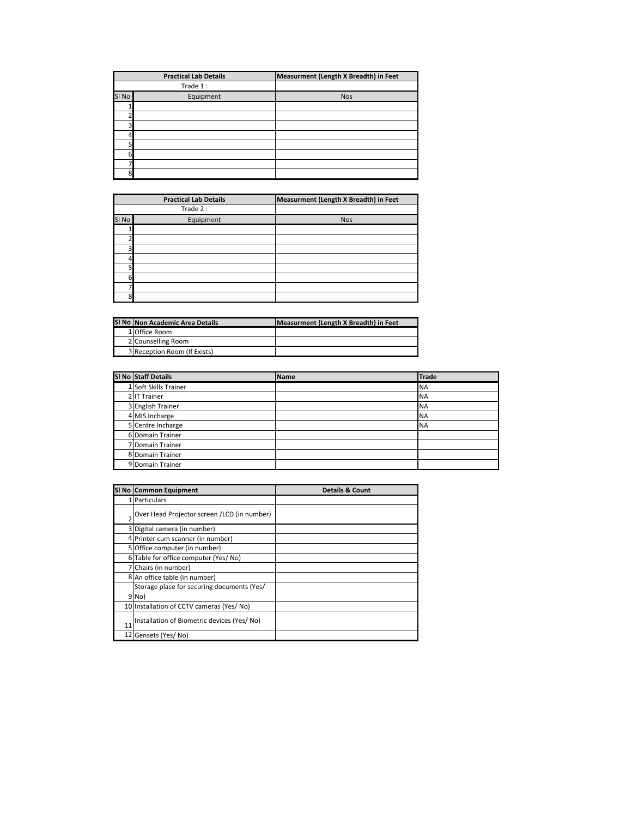|       | <b>Practical Lab Details</b> | Measurment (Length X Breadth) in Feet |
|-------|------------------------------|---------------------------------------|
|       | Trade 1:                     |                                       |
| SI No | Equipment                    | <b>Nos</b>                            |
|       |                              |                                       |
|       |                              |                                       |
|       |                              |                                       |
|       |                              |                                       |
|       |                              |                                       |
| 61    |                              |                                       |
|       |                              |                                       |
| 8l    |                              |                                       |

|       | <b>Practical Lab Details</b> | Measurment (Length X Breadth) in Feet |
|-------|------------------------------|---------------------------------------|
|       | Trade 2:                     |                                       |
| SI No | Equipment                    | <b>Nos</b>                            |
|       |                              |                                       |
|       |                              |                                       |
| 3     |                              |                                       |
|       |                              |                                       |
| 5     |                              |                                       |
| 6     |                              |                                       |
|       |                              |                                       |
| 8     |                              |                                       |

| SI No Non Academic Area Details | Measurment (Length X Breadth) in Feet |
|---------------------------------|---------------------------------------|
| 1 Office Room                   |                                       |
| 2 Counselling Room              |                                       |
| 3 Reception Room (If Exists)    |                                       |

| SI No Staff Details   | <b>Name</b> | <b>Trade</b> |
|-----------------------|-------------|--------------|
| 1 Soft Skills Trainer |             | <b>NA</b>    |
| 2 IT Trainer          |             | <b>NA</b>    |
| 3 English Trainer     |             | <b>NA</b>    |
| 4 MIS Incharge        |             | <b>NA</b>    |
| 5 Centre Incharge     |             | <b>NA</b>    |
| 6 Domain Trainer      |             |              |
| 7 Domain Trainer      |             |              |
| 8 Domain Trainer      |             |              |
| 9 Domain Trainer      |             |              |

|    | ' Domain Trainer                            |                            |
|----|---------------------------------------------|----------------------------|
|    | 8 Domain Trainer                            |                            |
|    | 9 Domain Trainer                            |                            |
|    |                                             |                            |
|    | SI No Common Equipment                      | <b>Details &amp; Count</b> |
|    | 1 Particulars                               |                            |
|    | Over Head Projector screen /LCD (in number) |                            |
|    | 3 Digital camera (in number)                |                            |
|    | 4 Printer cum scanner (in number)           |                            |
|    | 5 Office computer (in number)               |                            |
|    | 6 Table for office computer (Yes/ No)       |                            |
|    | 7 Chairs (in number)                        |                            |
|    | 8 An office table (in number)               |                            |
|    | Storage place for securing documents (Yes/  |                            |
|    | 9 No)                                       |                            |
|    | 10 Installation of CCTV cameras (Yes/No)    |                            |
| 11 | Installation of Biometric devices (Yes/No)  |                            |
|    | 12 Gensets (Yes/No)                         |                            |